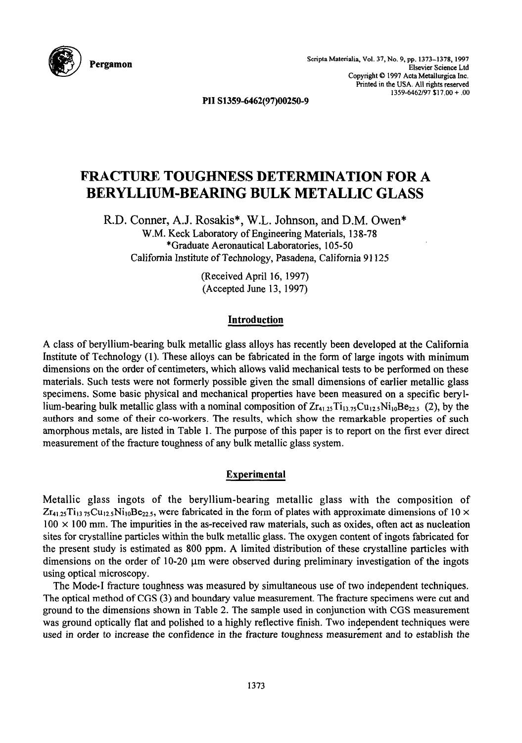

ScriDta Materialia. Vol. 37. No. 9. DD. 1373-1378. 1997 **Pergamon** , . . . Elsevier Science Ltd Copyright  $© 1997 Acta Metallurgica Inc.$ Printed in the USA. All rights reserved 13S9-6462/97 \$17.00 + .OO

**PII S1359-6462(97)00250-9** 

# **FRACTURE TOUGHNESS DETERMINATION FOR A BE:RYLLIUM-BEARING BULK METALLIC GLASS**

R.D. Conner, A.J. Rosakis\*, W.L. Johnson, and D.M. Owen\* W.M. Keck Laboratory of Engineering Materials, 138-78 \*Graduate Aeronautical Laboratories, 105-50 California Institute of Technology, Pasadena, California 91125

> (Received April 16, 1997) (Accepted June 13,1997)

## **Introduction**

A class of beryllium-bearing bulk metallic glass alloys has recently been developed at the California Institute of Technology (1). These alloys can be fabricated in the form of large ingots with minimum dimensions on the order of centimeters, which allows valid mechanical tests to be performed on these materials. Such tests were not formerly possible given the small dimensions of earlier metallic glass specimens. Some basic physical and mechanical properties have been measured on a specific beryllium-bearing bulk metallic glass with a nominal composition of  $Zr_{41.25}Ti_{13.75}Cu_{12.5}Ni_{10}Be_{22.5}$  (2), by the authors and some of their co-workers. The results, which show the remarkable properties of such amorphous metals, are listed in Table 1. The purpose of this paper is to report on the first ever direct measurement of the fracture toughness of any bulk metallic glass system.

## **Experimental**

Metallic glass ingots of the beryllium-bearing metallic glass with the composition of  $Zr_{41.25}Ti_{13.75}Cu_{12.5}Ni_{10}Be_{22.5}$ , were fabricated in the form of plates with approximate dimensions of 10  $\times$  $100 \times 100$  mm. The impurities in the as-received raw materials, such as oxides, often act as nucleation sites for crystalline particles within the bulk metallic glass. The oxygen content of ingots fabricated for the present study is estimated as 800 ppm. A limited distribution of these crystalline particles with dimensions on the order of 10-20  $\mu$ m were observed during preliminary investigation of the ingots using optical microscopy.

The Mode-I fracture toughness was measured by simultaneous use of two independent techniques. The optical method of CGS (3) and boundary value measurement. The fracture specimens were cut and ground to the dimensions shown in Table 2. The sample used in conjunction with CGS measurement was ground optically flat and polished to a highly reflective finish. Two independent techniques were used in order to increase the confidence in the fracture toughness measurement and to establish the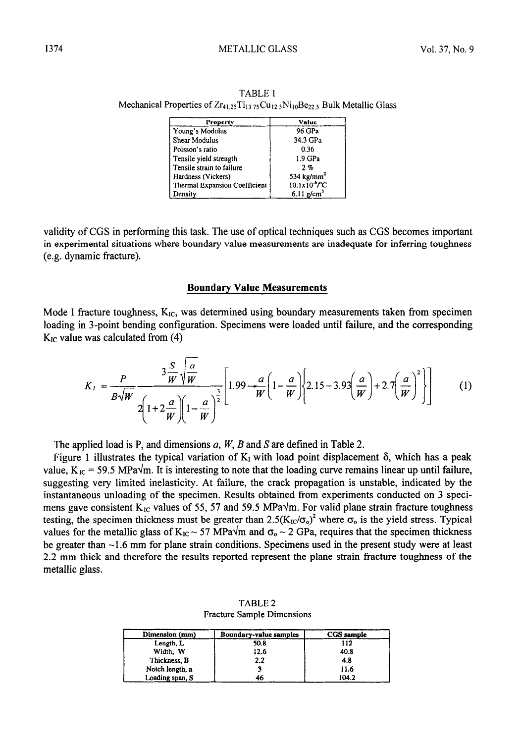### **1374 METALLIC GLASS** Vol. 37, No. 9

| Property                      | Value                             |
|-------------------------------|-----------------------------------|
| Young's Modulus               | 96 GPa                            |
| Shear Modulus                 | 34.3 GPa                          |
| Poisson's ratio               | 0.36                              |
| Tensile yield strength        | 1.9 GPa                           |
| Tensile strain to failure     | 2, 9                              |
| Hardness (Vickers)            | 534 kg/m $m2$                     |
| Thermal Expansion Coefficient | $10.1 \times 10^{-6}$ $\degree$ C |
| Density                       | $6.11 \text{ p/cm}^3$             |

TABLE 1 Mechanical Properties of  $Zr_{41.25}Ti_{13.75}Cu_{12.5}Ni_{10}Be_{22.5}$  Bulk Metallic Glass

validity of CGS in performing this task. The use of optical techniques such as CGS becomes important in experimental situations where boundary value measurements are inadequate for inferring toughness (e.g. dynamic fracture).

#### **Boundary Value Measurements**

Mode I fracture toughness,  $K_{IC}$ , was determined using boundary measurements taken from specimen loading in 3-point bending configuration. Specimens were loaded until failure, and the corresponding  $K_{IC}$  value was calculated from  $(4)$ 

$$
K_{I} = \frac{P}{B\sqrt{W}} \frac{3\frac{S}{W}\sqrt{\frac{a}{W}}}{2\left(1+2\frac{a}{W}\right)\left(1-\frac{a}{W}\right)^{\frac{3}{2}}}\left[1.99 - \frac{a}{W}\left(1-\frac{a}{W}\right)\left(2.15-3.93\left(\frac{a}{W}\right)+2.7\left(\frac{a}{W}\right)^{2}\right)\right]
$$
(1)

The applied load is P, and dimensions a, W, B and S are defined in Table 2.

Figure 1 illustrates the typical variation of  $K<sub>I</sub>$  with load point displacement  $\delta$ , which has a peak value,  $K_{1C} = 59.5 \text{ MPa}\text{/m}$ . It is interesting to note that the loading curve remains linear up until failure, suggesting very limited inelasticity. At failure, the crack propagation is unstable, indicated by the instantaneous unloading of the specimen. Results obtained from experiments conducted on 3 specimens gave consistent K<sub>1C</sub> values of 55, 57 and 59.5 MPa $\sqrt{m}$ . For valid plane strain fracture toughness testing, the specimen thickness must be greater than  $2.5(K_{\text{IC}}/\sigma_{\text{o}})^2$  where  $\sigma_{\text{o}}$  is the yield stress. Typical values for the metallic glass of  $K_{1C} \sim 57 \text{ MPa}\text{/m}$  and  $\sigma_0 \sim 2 \text{ GPa}$ , requires that the specimen thickness be greater than  $\sim$ 1.6 mm for plane strain conditions. Specimens used in the present study were at least 2.2 mm thick and therefore the results reported represent the plane strain fracture toughness of the metallic glass.

TABLE 2 Fracture Sample Dimensions

| Dimension (mm)  | <b>Boundary-value samples</b> | CGS sample |
|-----------------|-------------------------------|------------|
| Length, L.      | 50.8                          | 112        |
| Width, W        | 12.6                          | 40.8       |
| Thickness, B    | 2.2                           | 4.8        |
| Notch length, a |                               | 11.6       |
| Loading span, S | 46                            | 104.2      |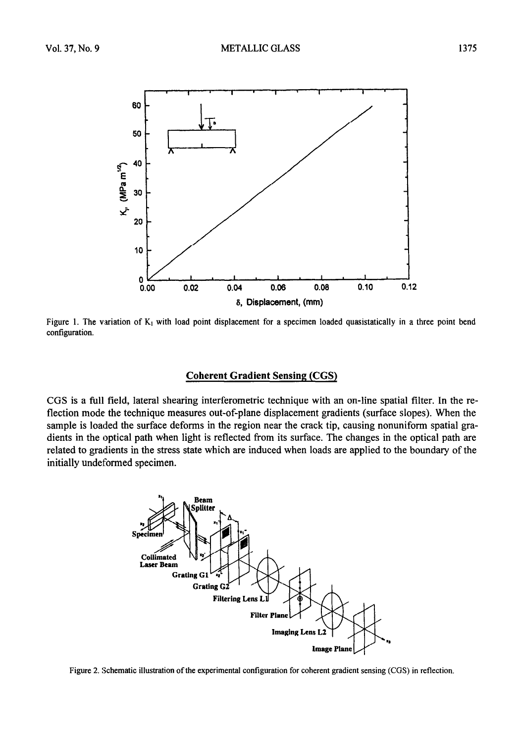

Figure 1. The variation of  $K_1$  with load point displacement for a specimen loaded quasistatically in a three point bend configuration.

## **Coherent Gradient Sensing (CGS)**

CGS is a full field, lateral shearing interferometric technique with an on-line spatial filter. In the reflection mode the technique measures out-of-plane displacement gradients (surface slopes). When the sample is loaded the surface deforms in the region near the crack tip, causing nonuniform spatial gradients in the optical path when light is reflected from its surface. The changes in the optical path are related to gradients in the stress state which are induced when loads are applied to the boundary of the initially undeformed specimen.



Figure 2. Schematic illustration of the experimental configuration for coherent gradient sensing (CC%) in reflection.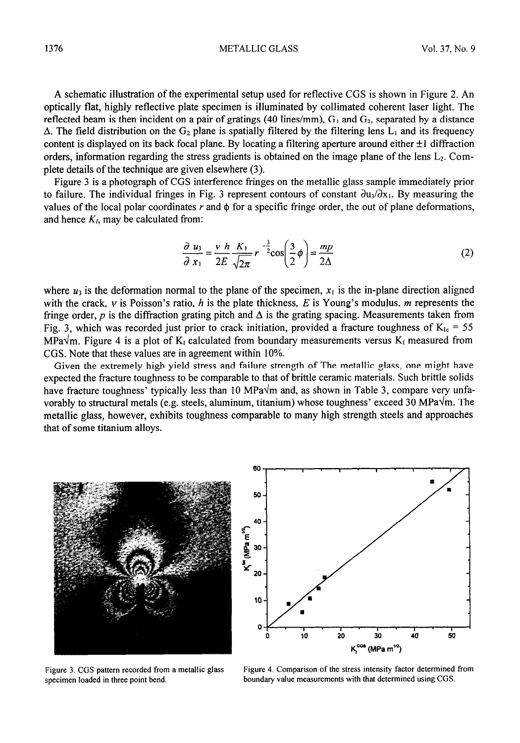1376 METALLIC GLASS Vol. 37, No. 9

A schematic illustration of the experimental setup used for reflective CGS is shown in Figure 2. An optically flat, highly reflective plate specimen is illuminated by collimated coherent laser light. The reflected beam is then incident on a pair of gratings (40 lines/mm),  $G_1$  and  $G_2$ , separated by a distance  $\Delta$ . The field distribution on the G<sub>2</sub> plane is spatially filtered by the filtering lens L<sub>1</sub> and its frequency content is displayed on its back focal plane. By locating a filtering aperture around either  $\pm 1$  diffraction orders, information regarding the stress gradients is obtained on the image plane of the lens L2. Complete details of the technique are given elsewhere (3).

Figure 3 is a photograph of CGS interference fringes on the metallic glass sample immediately prior to failure. The individual fringes in Fig. 3 represent contours of constant  $\partial u_3/\partial x_1$ . By measuring the values of the local polar coordinates  $r$  and  $\phi$  for a specific fringe order, the out of plane deformations, and hence  $K_I$ , may be calculated from:

$$
\frac{\partial u_3}{\partial x_1} = \frac{v h}{2E} \frac{K_1}{\sqrt{2\pi}} r^{-\frac{3}{2}} \cos\left(\frac{3}{2}\phi\right) = \frac{mp}{2\Delta}
$$
 (2)

where  $u_3$  is the deformation normal to the plane of the specimen,  $x_1$  is the in-plane direction aligned with the crack, v is Poisson's ratio, *h* is the plate thickness, E is Young's modulus, *m* represents the fringe order, p is the diffraction grating pitch and  $\Delta$  is the grating spacing. Measurements taken from Fig. 3, which was recorded just prior to crack initiation, provided a fracture toughness of  $K_{Ic} = 55$ MPa $\sqrt{m}$ . Figure 4 is a plot of K<sub>I</sub> calculated from boundary measurements versus K<sub>I</sub> measured from CGS. Note that these values are in agreement within 10%.

Given the extremely high yield stress and failure strength of The metallic glass, one might have expected the fracture toughness to be comparable to that of brittle ceramic materials. Such brittle solids have fracture toughness' typically less than 10 MPa $\sqrt{m}$  and, as shown in Table 3, compare very unfavorably to structural metals (e.g. steels, aluminum, titanium) whose toughness' exceed 30 MPa $\sqrt{m}$ . The metallic glass, however, exhibits toughness comparable to many high strength steels and approaches that of some titanium alloys.

**Figure 3. CGS pattern recorded from a metallic glass** 

**specimen loaded in three point bend.** 

**Figure 4. Comparison of the stress intensity factor determined from boundary value measurements with that determined using CGS.** 

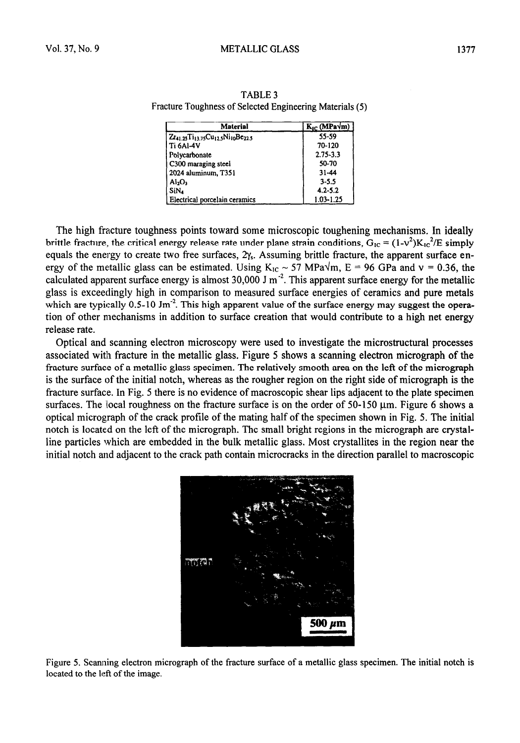| <b>Material</b>                                 | $K_{IC}$ (MPa $\sqrt{m}$ ) |
|-------------------------------------------------|----------------------------|
| $Zr_{41,25}Ti_{13,75}Cu_{12,5}Ni_{10}Be_{22,5}$ | 55-59                      |
| Ti 6AI-4V                                       | 70-120                     |
| Polycarbonate                                   | $2.75 - 3.3$               |
| C300 maraging steel                             | 50-70                      |
| 2024 aluminum, T351                             | 31-44                      |
| Al,O.                                           | $3 - 5.5$                  |
| SiN4                                            | $4.2 - 5.2$                |
| Electrical porcelain ceramics                   | 1.03-1.25                  |

TABLE 3 Fracture Toughness of Selected Engineering Materials (5)

The high fracture toughness points toward some microscopic toughening mechanisms. In ideally brittle fracture, the critical energy release rate under plane strain conditions,  $G_{IC} = (1-v^2)K_{IC}^2/E$  simply equals the energy to create two free surfaces,  $2y_s$ . Assuming brittle fracture, the apparent surface energy of the metallic glass can be estimated. Using  $K_{IC} \sim 57 \text{ MPa}\sqrt{m}$ ,  $E = 96 \text{ GPa}$  and  $v = 0.36$ , the calculated apparent surface energy is almost  $30,000$  J m<sup>-2</sup>. This apparent surface energy for the metallic glass is exceedingly high in comparison to measured surface energies of ceramics and pure metals which are typically  $0.5$ -10 Jm<sup>2</sup>. This high apparent value of the surface energy may suggest the operation of other mechanisms in addition to surface creation that would contribute to a high net energy release rate.

Optical and scanning electron microscopy were used to investigate the microstructural processes associated witlh fracture in the metallic glass. Figure 5 shows a scanning electron micrograph of the fracture surface of a metallic glass specimen. The relatively smooth area on the left of the micrograph is the surface of the initial notch, whereas as the rougher region on the right side of micrograph is the fracture surface. In Fig. 5 there is no evidence of macroscopic shear lips adjacent to the plate specimen surfaces. The local roughness on the fracture surface is on the order of  $50-150 \mu m$ . Figure 6 shows a optical micrograph of the crack profile of the mating half of the specimen shown in Fig. 5. The initial notch is located on the left of the micrograph. The small bright regions in the micrograph are crystalline particles which are embedded in the bulk metallic glass. Most crystallites in the region near the initial notch and adjacent to the crack path contain microcracks in the direction parallel to macroscopic



Figure 5. Scanning electron micrograph of the fracture surface of a metallic glass specimen. The initial notch is located to the left of the image.